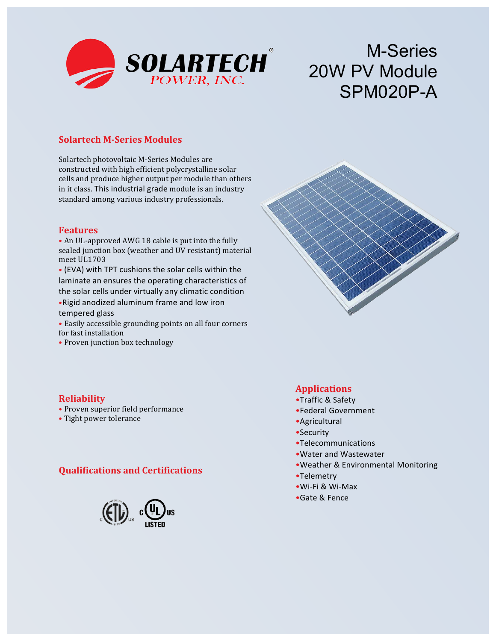

# M-Series 20W PV Module SPM020P-A

## **Solartech M-Series Modules**

Solartech photovoltaic M-Series Modules are constructed with high efficient polycrystalline solar cells and produce higher output per module than others in it class. This industrial grade module is an industry standard among various industry professionals.

#### **Features**

• An UL-approved AWG 18 cable is put into the fully sealed junction box (weather and UV resistant) material meet UL1703

• (EVA) with TPT cushions the solar cells within the laminate an ensures the operating characteristics of the solar cells under virtually any climatic condition •Rigid anodized aluminum frame and low iron tempered glass

• Easily accessible grounding points on all four corners for fast installation

• Proven junction box technology



#### **Reliability**

- Proven superior field performance
- Tight power tolerance

#### **Qualifications and Certifications**



#### **Applications**

- •Traffic & Safety
- •Federal Government
- •Agricultural
- •Security
- •Telecommunications
- Water and Wastewater
- •Weather & Environmental Monitoring
- •Telemetry
- •Wi-Fi & Wi-Max
- •Gate & Fence